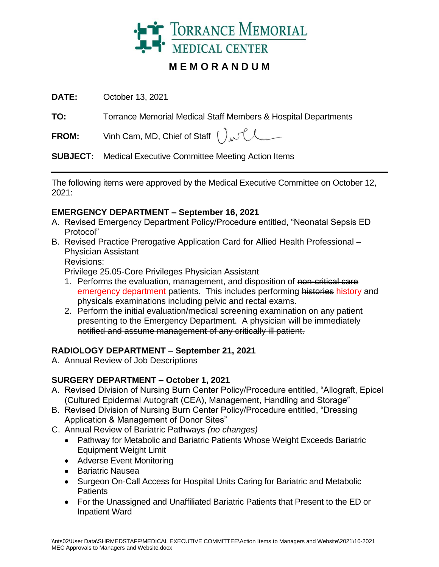

# **M E M O R A N D U M**

**DATE:** October 13, 2021

**TO:** Torrance Memorial Medical Staff Members & Hospital Departments

**FROM:** Vinh Cam, MD, Chief of Staff  $\int_{\Lambda}$ 

**SUBJECT:** Medical Executive Committee Meeting Action Items

The following items were approved by the Medical Executive Committee on October 12, 2021:

## **EMERGENCY DEPARTMENT – September 16, 2021**

- A. Revised Emergency Department Policy/Procedure entitled, "Neonatal Sepsis ED Protocol"
- B. Revised Practice Prerogative Application Card for Allied Health Professional Physician Assistant

### Revisions:

Privilege 25.05-Core Privileges Physician Assistant

- 1. Performs the evaluation, management, and disposition of non-critical care emergency department patients. This includes performing histories history and physicals examinations including pelvic and rectal exams.
- 2. Perform the initial evaluation/medical screening examination on any patient presenting to the Emergency Department. A physician will be immediately notified and assume management of any critically ill patient.

# **RADIOLOGY DEPARTMENT – September 21, 2021**

A. Annual Review of Job Descriptions

# **SURGERY DEPARTMENT – October 1, 2021**

- A. Revised Division of Nursing Burn Center Policy/Procedure entitled, "Allograft, Epicel (Cultured Epidermal Autograft (CEA), Management, Handling and Storage"
- B. Revised Division of Nursing Burn Center Policy/Procedure entitled, "Dressing Application & Management of Donor Sites"
- C. Annual Review of Bariatric Pathways *(no changes)*
	- Pathway for Metabolic and Bariatric Patients Whose Weight Exceeds Bariatric Equipment Weight Limit
	- Adverse Event Monitoring
	- Bariatric Nausea
	- Surgeon On-Call Access for Hospital Units Caring for Bariatric and Metabolic **Patients**
	- For the Unassigned and Unaffiliated Bariatric Patients that Present to the ED or Inpatient Ward